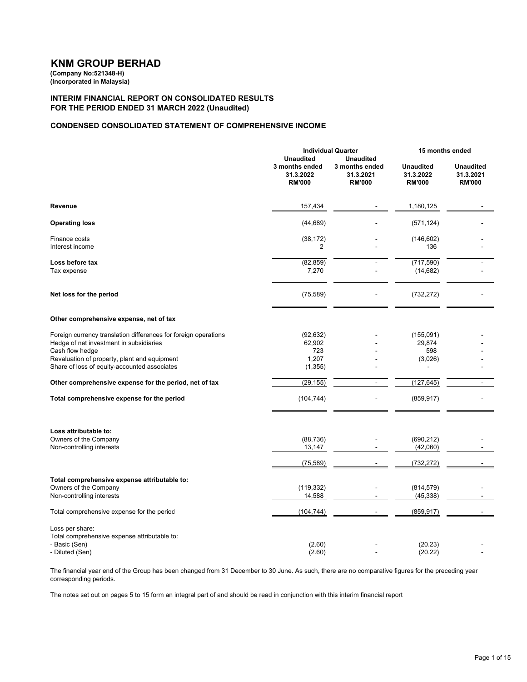# **KNM GROUP BERHAD**

**(Company No:521348-H) (Incorporated in Malaysia)**

**INTERIM FINANCIAL REPORT ON CONSOLIDATED RESULTS FOR THE PERIOD ENDED 31 MARCH 2022 (Unaudited)**

# **CONDENSED CONSOLIDATED STATEMENT OF COMPREHENSIVE INCOME**

|                                                                                                                                                                               | <b>Individual Quarter</b>                                        |                                                                  | 15 months ended                                |                                                |
|-------------------------------------------------------------------------------------------------------------------------------------------------------------------------------|------------------------------------------------------------------|------------------------------------------------------------------|------------------------------------------------|------------------------------------------------|
|                                                                                                                                                                               | <b>Unaudited</b><br>3 months ended<br>31.3.2022<br><b>RM'000</b> | <b>Unaudited</b><br>3 months ended<br>31.3.2021<br><b>RM'000</b> | <b>Unaudited</b><br>31.3.2022<br><b>RM'000</b> | <b>Unaudited</b><br>31.3.2021<br><b>RM'000</b> |
| Revenue                                                                                                                                                                       | 157,434                                                          |                                                                  | 1,180,125                                      |                                                |
| <b>Operating loss</b>                                                                                                                                                         | (44, 689)                                                        |                                                                  | (571, 124)                                     |                                                |
| Finance costs<br>Interest income                                                                                                                                              | (38, 172)<br>2                                                   |                                                                  | (146, 602)<br>136                              |                                                |
| Loss before tax<br>Tax expense                                                                                                                                                | (82, 859)<br>7,270                                               |                                                                  | (717, 590)<br>(14, 682)                        |                                                |
| Net loss for the period                                                                                                                                                       | (75, 589)                                                        |                                                                  | (732, 272)                                     |                                                |
| Other comprehensive expense, net of tax                                                                                                                                       |                                                                  |                                                                  |                                                |                                                |
| Foreign currency translation differences for foreign operations<br>Hedge of net investment in subsidiaries<br>Cash flow hedge<br>Revaluation of property, plant and equipment | (92, 632)<br>62,902<br>723<br>1,207                              |                                                                  | (155,091)<br>29,874<br>598<br>(3,026)          |                                                |
| Share of loss of equity-accounted associates                                                                                                                                  | (1, 355)                                                         |                                                                  | $\overline{\phantom{a}}$                       |                                                |
| Other comprehensive expense for the period, net of tax                                                                                                                        | (29, 155)                                                        |                                                                  | (127, 645)                                     | $\overline{a}$                                 |
| Total comprehensive expense for the period                                                                                                                                    | (104, 744)                                                       |                                                                  | (859, 917)                                     |                                                |
| Loss attributable to:<br>Owners of the Company<br>Non-controlling interests                                                                                                   | (88, 736)<br>13,147                                              |                                                                  | (690, 212)<br>(42,060)                         |                                                |
|                                                                                                                                                                               | (75, 589)                                                        |                                                                  | (732, 272)                                     |                                                |
| Total comprehensive expense attributable to:<br>Owners of the Company<br>Non-controlling interests                                                                            | (119, 332)<br>14,588                                             |                                                                  | (814, 579)<br>(45, 338)                        |                                                |
| Total comprehensive expense for the period                                                                                                                                    | (104, 744)                                                       |                                                                  | (859, 917)                                     |                                                |
| Loss per share:<br>Total comprehensive expense attributable to:<br>- Basic (Sen)<br>- Diluted (Sen)                                                                           | (2.60)<br>(2.60)                                                 |                                                                  | (20.23)<br>(20.22)                             |                                                |

The financial year end of the Group has been changed from 31 December to 30 June. As such, there are no comparative figures for the preceding year corresponding periods.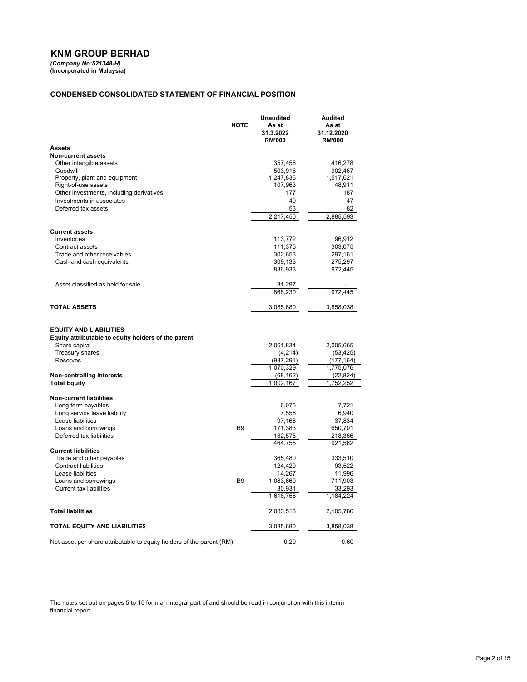# **KNM GROUP BERHAD**

*(Company No:521348-H)* **(Incorporated in Malaysia)**

#### **CONDENSED CONSOLIDATED STATEMENT OF FINANCIAL POSITION**

|                                                                                                                                      | <b>NOTE</b>    | <b>Unaudited</b><br>As at<br>31.3.2022<br><b>RM'000</b> | Audited<br>As at<br>31.12.2020<br><b>RM'000</b>   |
|--------------------------------------------------------------------------------------------------------------------------------------|----------------|---------------------------------------------------------|---------------------------------------------------|
| Assets                                                                                                                               |                |                                                         |                                                   |
| <b>Non-current assets</b>                                                                                                            |                |                                                         |                                                   |
| Other intangible assets                                                                                                              |                | 357,456                                                 | 416,278                                           |
| Goodwill                                                                                                                             |                | 503,916                                                 | 902,467                                           |
| Property, plant and equipment                                                                                                        |                | 1,247,836                                               | 1,517,621                                         |
| Right-of-use assets                                                                                                                  |                | 107,963                                                 | 48,911                                            |
| Other investments, including derivatives                                                                                             |                | 177                                                     | 187                                               |
| Investments in associates                                                                                                            |                | 49                                                      | 47                                                |
| Deferred tax assets                                                                                                                  |                | 53                                                      | 82                                                |
|                                                                                                                                      |                | 2,217,450                                               | 2,885,593                                         |
| <b>Current assets</b>                                                                                                                |                |                                                         |                                                   |
| Inventories                                                                                                                          |                | 113,772                                                 | 96,912                                            |
| Contract assets                                                                                                                      |                | 111,375                                                 | 303,075                                           |
| Trade and other receivables                                                                                                          |                | 302,653                                                 | 297,161                                           |
| Cash and cash equivalents                                                                                                            |                | 309,133                                                 | 275,297                                           |
|                                                                                                                                      |                | 836,933                                                 | 972,445                                           |
|                                                                                                                                      |                |                                                         |                                                   |
| Asset classified as held for sale                                                                                                    |                | 31,297                                                  |                                                   |
|                                                                                                                                      |                | 868,230                                                 | 972,445                                           |
| <b>TOTAL ASSETS</b>                                                                                                                  |                | 3,085,680                                               | 3,858,038                                         |
| <b>EQUITY AND LIABILITIES</b><br>Equity attributable to equity holders of the parent<br>Share capital<br>Treasury shares<br>Reserves |                | 2,061,834<br>(4,214)<br>(987, 291)<br>1,070,329         | 2,005,665<br>(53, 425)<br>(177, 164)<br>1,775,076 |
| <b>Non-controlling interests</b>                                                                                                     |                | (68, 162)                                               | (22, 824)                                         |
| <b>Total Equity</b>                                                                                                                  |                | 1,002,167                                               | 1,752,252                                         |
|                                                                                                                                      |                |                                                         |                                                   |
| <b>Non-current liabilities</b><br>Long term payables                                                                                 |                | 6,075                                                   | 7,721                                             |
| Long service leave liability                                                                                                         |                | 7,556                                                   | 6,940                                             |
| Lease liabilities                                                                                                                    |                | 97,166                                                  | 37,834                                            |
| Loans and borrowings                                                                                                                 | B <sub>9</sub> | 171,383                                                 | 650,701                                           |
| Deferred tax liabilities                                                                                                             |                | 182,575                                                 | 218,366                                           |
|                                                                                                                                      |                | 464,755                                                 | 921,562                                           |
| <b>Current liabilities</b>                                                                                                           |                |                                                         |                                                   |
| Trade and other payables                                                                                                             |                | 365,480                                                 | 333,510                                           |
| <b>Contract liabilities</b>                                                                                                          |                | 124,420                                                 | 93,522                                            |
| Lease liabilities                                                                                                                    |                | 14,267                                                  | 11,996                                            |
| Loans and borrowings                                                                                                                 | B <sub>9</sub> | 1,083,660                                               | 711,903                                           |
| <b>Current tax liabilities</b>                                                                                                       |                | 30,931<br>1,618,758                                     | 33,293<br>1,184,224                               |
|                                                                                                                                      |                |                                                         |                                                   |
| <b>Total liabilities</b>                                                                                                             |                | 2,083,513                                               | 2,105,786                                         |
| TOTAL EQUITY AND LIABILITIES                                                                                                         |                | 3,085,680                                               | 3,858,038                                         |
| Net asset per share attributable to equity holders of the parent (RM)                                                                |                | 0.29                                                    | 0.60                                              |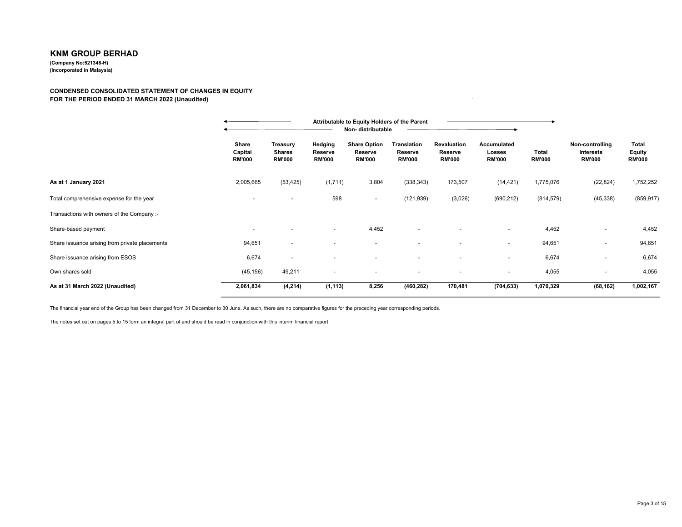# **KNM GROUP BERHAD(Company No:521348-H)**

**(Incorporated in Malaysia)**

#### **CONDENSED CONSOLIDATED STATEMENT OF CHANGES IN EQUITY FOR THE PERIOD ENDED 31 MARCH 2022 (Unaudited)**) and the same state  $\mathbf{r}$

|                                                |                                   |                                            |                                     | Non-distributable                               | Attributable to Equity Holders of the Parent   |                                         |                                        |                        |                                               |                                                |
|------------------------------------------------|-----------------------------------|--------------------------------------------|-------------------------------------|-------------------------------------------------|------------------------------------------------|-----------------------------------------|----------------------------------------|------------------------|-----------------------------------------------|------------------------------------------------|
|                                                | Share<br>Capital<br><b>RM'000</b> | Treasury<br><b>Shares</b><br><b>RM'000</b> | Hedging<br>Reserve<br><b>RM'000</b> | <b>Share Option</b><br>Reserve<br><b>RM'000</b> | <b>Translation</b><br>Reserve<br><b>RM'000</b> | Revaluation<br>Reserve<br><b>RM'000</b> | Accumulated<br>Losses<br><b>RM'000</b> | Total<br><b>RM'000</b> | Non-controlling<br>Interests<br><b>RM'000</b> | <b>Total</b><br><b>Equity</b><br><b>RM'000</b> |
| As at 1 January 2021                           | 2,005,665                         | (53, 425)                                  | (1,711)                             | 3,804                                           | (338, 343)                                     | 173,507                                 | (14, 421)                              | 1,775,076              | (22, 824)                                     | 1,752,252                                      |
| Total comprehensive expense for the year       | $\overline{\phantom{a}}$          |                                            | 598                                 | $\sim$                                          | (121, 939)                                     | (3,026)                                 | (690, 212)                             | (814, 579)             | (45, 338)                                     | (859, 917)                                     |
| Transactions with owners of the Company :-     |                                   |                                            |                                     |                                                 |                                                |                                         |                                        |                        |                                               |                                                |
| Share-based payment                            |                                   |                                            |                                     | 4,452                                           |                                                |                                         |                                        | 4,452                  |                                               | 4,452                                          |
| Share issuance arising from private placements | 94,651                            |                                            |                                     |                                                 |                                                |                                         | $\sim$                                 | 94,651                 | ٠                                             | 94,651                                         |
| Share issuance arising from ESOS               | 6,674                             |                                            |                                     |                                                 |                                                | $\overline{\phantom{a}}$                | $\overline{\phantom{0}}$               | 6,674                  |                                               | 6,674                                          |
| Own shares sold                                | (45, 156)                         | 49,211                                     | $\blacksquare$                      |                                                 |                                                | $\overline{\phantom{a}}$                |                                        | 4,055                  | ٠                                             | 4,055                                          |
| As at 31 March 2022 (Unaudited)                | 2,061,834                         | (4, 214)                                   | (1, 113)                            | 8,256                                           | (460, 282)                                     | 170,481                                 | (704, 633)                             | 1,070,329              | (68, 162)                                     | 1,002,167                                      |

The financial year end of the Group has been changed from 31 December to 30 June. As such, there are no comparative figures for the preceding year corresponding periods.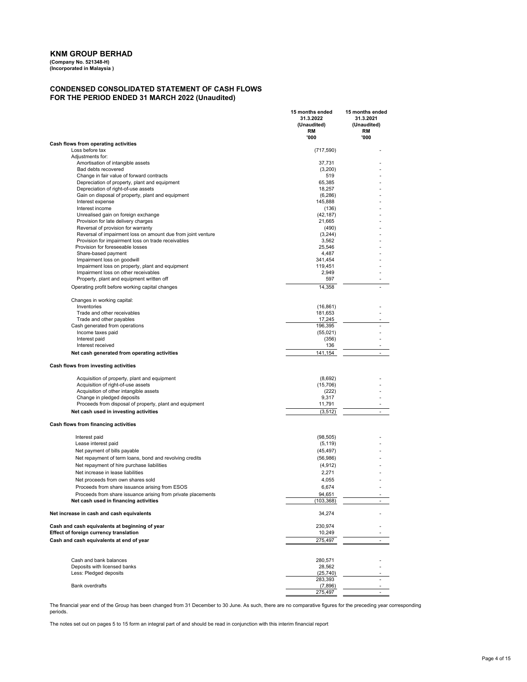**(Company No. 521348-H) (Incorporated in Malaysia )**

#### **CONDENSED CONSOLIDATED STATEMENT OF CASH FLOWS FOR THE PERIOD ENDED 31 MARCH 2022 (Unaudited)**

|                                                                                          | 15 months ended<br>31.3.2022<br>(Unaudited)<br>RM<br>'000 | 15 months ended<br>31.3.2021<br>(Unaudited)<br>RM<br>'000 |
|------------------------------------------------------------------------------------------|-----------------------------------------------------------|-----------------------------------------------------------|
| Cash flows from operating activities                                                     |                                                           |                                                           |
| Loss before tax                                                                          | (717, 590)                                                |                                                           |
| Adiustments for:                                                                         |                                                           |                                                           |
| Amortisation of intangible assets                                                        | 37,731                                                    |                                                           |
| Bad debts recovered                                                                      | (3,200)                                                   |                                                           |
| Change in fair value of forward contracts                                                | 519                                                       |                                                           |
| Depreciation of property, plant and equipment                                            | 65,385                                                    |                                                           |
| Depreciation of right-of-use assets<br>Gain on disposal of property, plant and equipment | 18,257<br>(6, 286)                                        |                                                           |
| Interest expense                                                                         | 145,888                                                   |                                                           |
| Interest income                                                                          | (136)                                                     |                                                           |
| Unrealised gain on foreign exchange                                                      | (42, 187)                                                 |                                                           |
| Provision for late delivery charges                                                      | 21,665                                                    |                                                           |
| Reversal of provision for warranty                                                       | (490)                                                     |                                                           |
| Reversal of impairment loss on amount due from joint venture                             | (3,244)                                                   |                                                           |
| Provision for impairment loss on trade receivables                                       | 3,562                                                     |                                                           |
| Provision for foreseeable losses                                                         | 25,546                                                    |                                                           |
| Share-based payment<br>Impairment loss on goodwill                                       | 4,487<br>341,454                                          |                                                           |
| Impairment loss on property, plant and equipment                                         | 119,451                                                   |                                                           |
| Impairment loss on other receivables                                                     | 2,949                                                     |                                                           |
| Property, plant and equipment written off                                                | 597                                                       |                                                           |
| Operating profit before working capital changes                                          | 14,358                                                    |                                                           |
| Changes in working capital:                                                              |                                                           |                                                           |
| Inventories                                                                              | (16, 861)                                                 |                                                           |
| Trade and other receivables                                                              | 181,653                                                   |                                                           |
| Trade and other payables                                                                 | 17,245                                                    |                                                           |
| Cash generated from operations                                                           | 196,395                                                   |                                                           |
| Income taxes paid                                                                        | (55,021)                                                  |                                                           |
| Interest paid                                                                            | (356)                                                     |                                                           |
| Interest received                                                                        | 136                                                       |                                                           |
| Net cash generated from operating activities                                             | 141,154                                                   | $\sim$                                                    |
| Cash flows from investing activities                                                     |                                                           |                                                           |
| Acquisition of property, plant and equipment                                             | (8,692)                                                   |                                                           |
| Acquisition of right-of-use assets                                                       | (15, 706)                                                 |                                                           |
| Acquisition of other intangible assets                                                   | (222)                                                     |                                                           |
| Change in pledged deposits                                                               | 9,317                                                     |                                                           |
| Proceeds from disposal of property, plant and equipment                                  | 11,791                                                    | $\sim$                                                    |
| Net cash used in investing activities                                                    | (3, 512)                                                  |                                                           |
| Cash flows from financing activities                                                     |                                                           |                                                           |
| Interest paid                                                                            | (98, 505)                                                 |                                                           |
| Lease interest paid                                                                      | (5, 119)                                                  |                                                           |
| Net payment of bills payable                                                             | (45, 497)                                                 |                                                           |
| Net repayment of term loans, bond and revolving credits                                  | (56,986)                                                  |                                                           |
| Net repayment of hire purchase liabilities                                               | (4, 912)                                                  |                                                           |
| Net increase in lease liabilities                                                        | 2,271                                                     |                                                           |
| Net proceeds from own shares sold                                                        | 4,055                                                     |                                                           |
| Proceeds from share issuance arising from ESOS                                           | 6,674                                                     |                                                           |
| Proceeds from share issuance arising from private placements                             | 94,651                                                    |                                                           |
| Net cash used in financing activities                                                    | (103, 368)                                                |                                                           |
| Net increase in cash and cash equivalents                                                | 34,274                                                    |                                                           |
| Cash and cash equivalents at beginning of year                                           | 230,974                                                   |                                                           |
| Effect of foreign currency translation                                                   | 10,249                                                    |                                                           |
| Cash and cash equivalents at end of year                                                 | 275,497                                                   |                                                           |
| Cash and bank balances                                                                   | 280,571                                                   |                                                           |
| Deposits with licensed banks                                                             | 28,562                                                    |                                                           |
| Less: Pledged deposits                                                                   | (25, 740)                                                 |                                                           |
|                                                                                          | 283,393                                                   |                                                           |
| <b>Bank overdrafts</b>                                                                   | (7,896)                                                   |                                                           |
|                                                                                          | 275,497                                                   |                                                           |

The financial year end of the Group has been changed from 31 December to 30 June. As such, there are no comparative figures for the preceding year corresponding periods.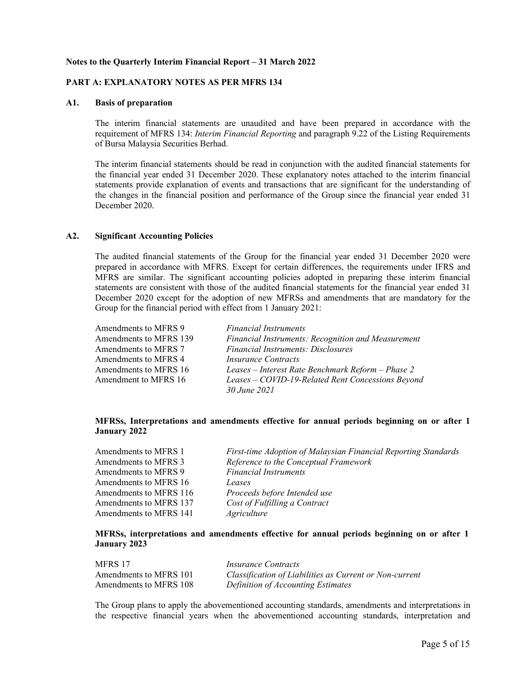# **Notes to the Quarterly Interim Financial Report – 31 March 2022**

# **PART A: EXPLANATORY NOTES AS PER MFRS 134**

#### **A1. Basis of preparation**

The interim financial statements are unaudited and have been prepared in accordance with the requirement of MFRS 134: *Interim Financial Reporting* and paragraph 9.22 of the Listing Requirements of Bursa Malaysia Securities Berhad.

The interim financial statements should be read in conjunction with the audited financial statements for the financial year ended 31 December 2020. These explanatory notes attached to the interim financial statements provide explanation of events and transactions that are significant for the understanding of the changes in the financial position and performance of the Group since the financial year ended 31 December 2020.

# **A2. Significant Accounting Policies**

The audited financial statements of the Group for the financial year ended 31 December 2020 were prepared in accordance with MFRS. Except for certain differences, the requirements under IFRS and MFRS are similar. The significant accounting policies adopted in preparing these interim financial statements are consistent with those of the audited financial statements for the financial year ended 31 December 2020 except for the adoption of new MFRSs and amendments that are mandatory for the Group for the financial period with effect from 1 January 2021:

| Amendments to MFRS 9   | <b>Financial Instruments</b>                       |
|------------------------|----------------------------------------------------|
| Amendments to MFRS 139 | Financial Instruments: Recognition and Measurement |
| Amendments to MFRS 7   | <b>Financial Instruments: Disclosures</b>          |
| Amendments to MFRS 4   | <i>Insurance Contracts</i>                         |
| Amendments to MFRS 16  | Leases – Interest Rate Benchmark Reform – Phase 2  |
| Amendment to MFRS 16   | Leases - COVID-19-Related Rent Concessions Beyond  |
|                        | 30 June 2021                                       |

# **MFRSs, Interpretations and amendments effective for annual periods beginning on or after 1 January 2022**

| Amendments to MFRS 1   | First-time Adoption of Malaysian Financial Reporting Standards |
|------------------------|----------------------------------------------------------------|
| Amendments to MFRS 3   | Reference to the Conceptual Framework                          |
| Amendments to MFRS 9   | <b>Financial Instruments</b>                                   |
| Amendments to MFRS 16  | Leases                                                         |
| Amendments to MFRS 116 | Proceeds before Intended use                                   |
| Amendments to MFRS 137 | Cost of Fulfilling a Contract                                  |
| Amendments to MFRS 141 | Agriculture                                                    |

# **MFRSs, interpretations and amendments effective for annual periods beginning on or after 1 January 2023**

| MFRS 17                | <i>Insurance Contracts</i>                              |
|------------------------|---------------------------------------------------------|
| Amendments to MFRS 101 | Classification of Liabilities as Current or Non-current |
| Amendments to MFRS 108 | Definition of Accounting Estimates                      |

The Group plans to apply the abovementioned accounting standards, amendments and interpretations in the respective financial years when the abovementioned accounting standards, interpretation and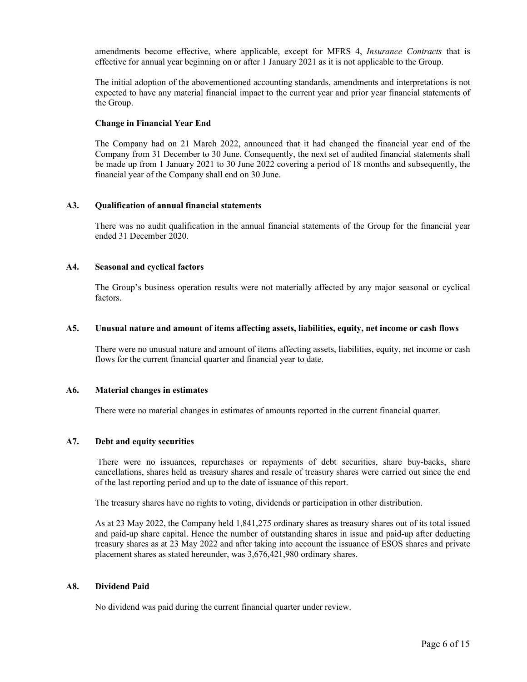amendments become effective, where applicable, except for MFRS 4, *Insurance Contracts* that is effective for annual year beginning on or after 1 January 2021 as it is not applicable to the Group.

The initial adoption of the abovementioned accounting standards, amendments and interpretations is not expected to have any material financial impact to the current year and prior year financial statements of the Group.

# **Change in Financial Year End**

The Company had on 21 March 2022, announced that it had changed the financial year end of the Company from 31 December to 30 June. Consequently, the next set of audited financial statements shall be made up from 1 January 2021 to 30 June 2022 covering a period of 18 months and subsequently, the financial year of the Company shall end on 30 June.

# **A3. Qualification of annual financial statements**

There was no audit qualification in the annual financial statements of the Group for the financial year ended 31 December 2020.

# **A4. Seasonal and cyclical factors**

The Group's business operation results were not materially affected by any major seasonal or cyclical factors.

# **A5. Unusual nature and amount of items affecting assets, liabilities, equity, net income or cash flows**

There were no unusual nature and amount of items affecting assets, liabilities, equity, net income or cash flows for the current financial quarter and financial year to date.

#### **A6. Material changes in estimates**

There were no material changes in estimates of amounts reported in the current financial quarter.

# **A7. Debt and equity securities**

 There were no issuances, repurchases or repayments of debt securities, share buy-backs, share cancellations, shares held as treasury shares and resale of treasury shares were carried out since the end of the last reporting period and up to the date of issuance of this report.

The treasury shares have no rights to voting, dividends or participation in other distribution.

As at 23 May 2022, the Company held 1,841,275 ordinary shares as treasury shares out of its total issued and paid-up share capital. Hence the number of outstanding shares in issue and paid-up after deducting treasury shares as at 23 May 2022 and after taking into account the issuance of ESOS shares and private placement shares as stated hereunder, was 3,676,421,980 ordinary shares.

#### **A8. Dividend Paid**

No dividend was paid during the current financial quarter under review.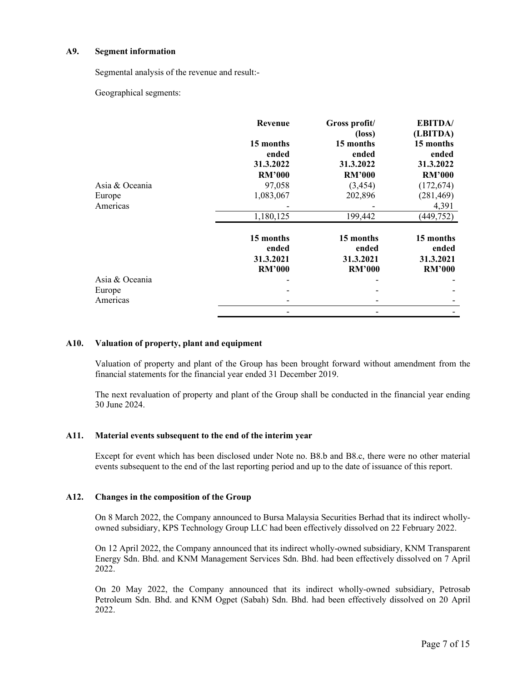# **A9. Segment information**

Segmental analysis of the revenue and result:-

Geographical segments:

|                | Revenue            | Gross profit/<br>$(\text{loss})$ | <b>EBITDA</b> /<br>(LBITDA) |
|----------------|--------------------|----------------------------------|-----------------------------|
|                | 15 months<br>ended | 15 months<br>ended               | 15 months<br>ended          |
|                | 31.3.2022          | 31.3.2022                        | 31.3.2022                   |
|                | <b>RM'000</b>      | <b>RM'000</b>                    | <b>RM'000</b>               |
| Asia & Oceania | 97,058             | (3, 454)                         | (172, 674)                  |
| Europe         | 1,083,067          | 202,896                          | (281, 469)                  |
| Americas       |                    |                                  | 4,391                       |
|                | 1,180,125          | 199,442                          | (449, 752)                  |
|                | 15 months          | 15 months                        | 15 months                   |
|                | ended              | ended                            | ended                       |
|                | 31.3.2021          | 31.3.2021                        | 31.3.2021                   |
|                | <b>RM'000</b>      | <b>RM'000</b>                    | <b>RM'000</b>               |
| Asia & Oceania |                    |                                  |                             |
| Europe         |                    |                                  |                             |
| Americas       |                    |                                  |                             |
|                |                    |                                  |                             |

# **A10. Valuation of property, plant and equipment**

Valuation of property and plant of the Group has been brought forward without amendment from the financial statements for the financial year ended 31 December 2019.

The next revaluation of property and plant of the Group shall be conducted in the financial year ending 30 June 2024.

# **A11. Material events subsequent to the end of the interim year**

Except for event which has been disclosed under Note no. B8.b and B8.c, there were no other material events subsequent to the end of the last reporting period and up to the date of issuance of this report.

# **A12. Changes in the composition of the Group**

On 8 March 2022, the Company announced to Bursa Malaysia Securities Berhad that its indirect whollyowned subsidiary, KPS Technology Group LLC had been effectively dissolved on 22 February 2022.

On 12 April 2022, the Company announced that its indirect wholly-owned subsidiary, KNM Transparent Energy Sdn. Bhd. and KNM Management Services Sdn. Bhd. had been effectively dissolved on 7 April 2022.

On 20 May 2022, the Company announced that its indirect wholly-owned subsidiary, Petrosab Petroleum Sdn. Bhd. and KNM Ogpet (Sabah) Sdn. Bhd. had been effectively dissolved on 20 April 2022.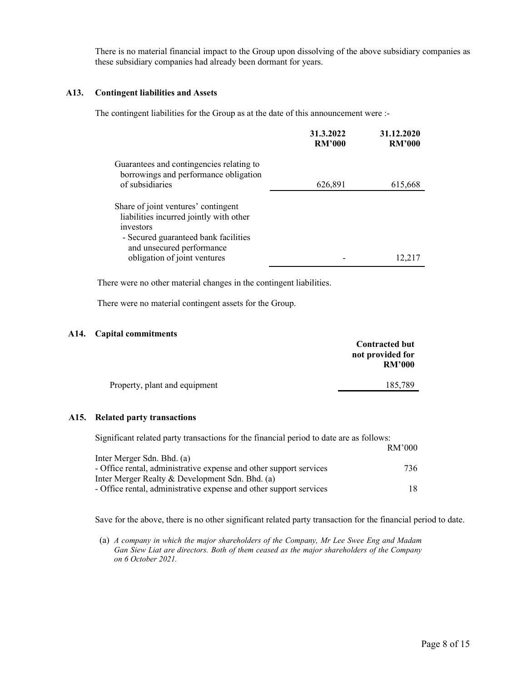There is no material financial impact to the Group upon dissolving of the above subsidiary companies as these subsidiary companies had already been dormant for years.

# **A13. Contingent liabilities and Assets**

The contingent liabilities for the Group as at the date of this announcement were :-

|                                                                                                                                                                  | 31.3.2022<br><b>RM'000</b> | 31.12.2020<br><b>RM'000</b> |
|------------------------------------------------------------------------------------------------------------------------------------------------------------------|----------------------------|-----------------------------|
| Guarantees and contingencies relating to<br>borrowings and performance obligation                                                                                |                            |                             |
| of subsidiaries                                                                                                                                                  | 626,891                    | 615,668                     |
| Share of joint ventures' contingent<br>liabilities incurred jointly with other<br>investors<br>- Secured guaranteed bank facilities<br>and unsecured performance |                            |                             |
| obligation of joint ventures                                                                                                                                     |                            | 12,217                      |

There were no other material changes in the contingent liabilities.

There were no material contingent assets for the Group.

# **A14. Capital commitments**

| .р.с сонникшенсь              | <b>Contracted but</b><br>not provided for<br><b>RM'000</b> |
|-------------------------------|------------------------------------------------------------|
| Property, plant and equipment | 185,789                                                    |

### **A15. Related party transactions**

| Significant related party transactions for the financial period to date are as follows: |        |
|-----------------------------------------------------------------------------------------|--------|
|                                                                                         | RM'000 |
| Inter Merger Sdn. Bhd. (a)                                                              |        |
| - Office rental, administrative expense and other support services                      | 736.   |
| Inter Merger Realty & Development Sdn. Bhd. (a)                                         |        |
| - Office rental, administrative expense and other support services                      |        |

Save for the above, there is no other significant related party transaction for the financial period to date.

(a) *A company in which the major shareholders of the Company, Mr Lee Swee Eng and Madam Gan Siew Liat are directors. Both of them ceased as the major shareholders of the Company on 6 October 2021.*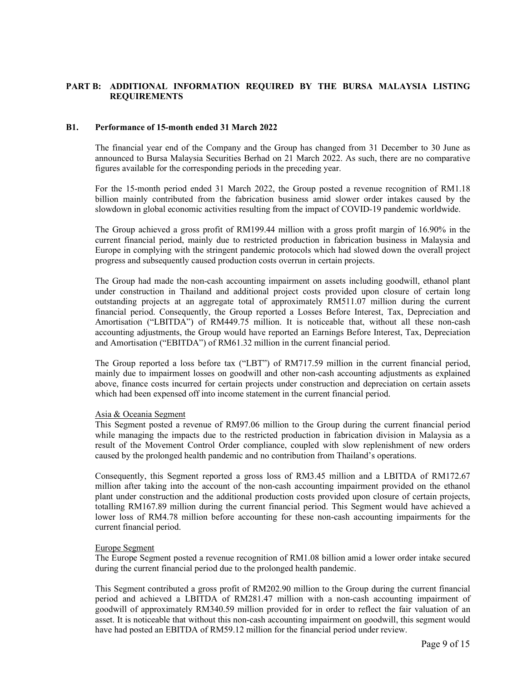# **PART B: ADDITIONAL INFORMATION REQUIRED BY THE BURSA MALAYSIA LISTING REQUIREMENTS**

# **B1. Performance of 15-month ended 31 March 2022**

The financial year end of the Company and the Group has changed from 31 December to 30 June as announced to Bursa Malaysia Securities Berhad on 21 March 2022. As such, there are no comparative figures available for the corresponding periods in the preceding year.

For the 15-month period ended 31 March 2022, the Group posted a revenue recognition of RM1.18 billion mainly contributed from the fabrication business amid slower order intakes caused by the slowdown in global economic activities resulting from the impact of COVID-19 pandemic worldwide.

The Group achieved a gross profit of RM199.44 million with a gross profit margin of 16.90% in the current financial period, mainly due to restricted production in fabrication business in Malaysia and Europe in complying with the stringent pandemic protocols which had slowed down the overall project progress and subsequently caused production costs overrun in certain projects.

The Group had made the non-cash accounting impairment on assets including goodwill, ethanol plant under construction in Thailand and additional project costs provided upon closure of certain long outstanding projects at an aggregate total of approximately RM511.07 million during the current financial period. Consequently, the Group reported a Losses Before Interest, Tax, Depreciation and Amortisation ("LBITDA") of RM449.75 million. It is noticeable that, without all these non-cash accounting adjustments, the Group would have reported an Earnings Before Interest, Tax, Depreciation and Amortisation ("EBITDA") of RM61.32 million in the current financial period.

The Group reported a loss before tax ("LBT") of RM717.59 million in the current financial period, mainly due to impairment losses on goodwill and other non-cash accounting adjustments as explained above, finance costs incurred for certain projects under construction and depreciation on certain assets which had been expensed off into income statement in the current financial period.

#### Asia & Oceania Segment

This Segment posted a revenue of RM97.06 million to the Group during the current financial period while managing the impacts due to the restricted production in fabrication division in Malaysia as a result of the Movement Control Order compliance, coupled with slow replenishment of new orders caused by the prolonged health pandemic and no contribution from Thailand's operations.

Consequently, this Segment reported a gross loss of RM3.45 million and a LBITDA of RM172.67 million after taking into the account of the non-cash accounting impairment provided on the ethanol plant under construction and the additional production costs provided upon closure of certain projects, totalling RM167.89 million during the current financial period. This Segment would have achieved a lower loss of RM4.78 million before accounting for these non-cash accounting impairments for the current financial period.

#### Europe Segment

The Europe Segment posted a revenue recognition of RM1.08 billion amid a lower order intake secured during the current financial period due to the prolonged health pandemic.

This Segment contributed a gross profit of RM202.90 million to the Group during the current financial period and achieved a LBITDA of RM281.47 million with a non-cash accounting impairment of goodwill of approximately RM340.59 million provided for in order to reflect the fair valuation of an asset. It is noticeable that without this non-cash accounting impairment on goodwill, this segment would have had posted an EBITDA of RM59.12 million for the financial period under review.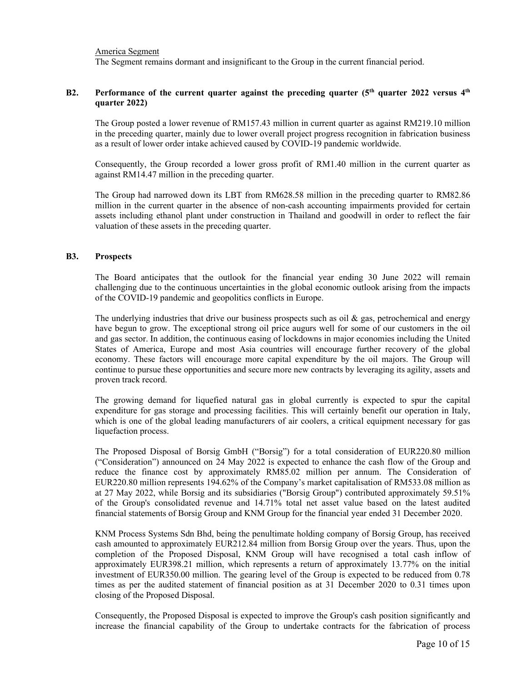America Segment

The Segment remains dormant and insignificant to the Group in the current financial period.

# **B2. Performance of the current quarter against the preceding quarter (5th quarter 2022 versus 4th quarter 2022)**

The Group posted a lower revenue of RM157.43 million in current quarter as against RM219.10 million in the preceding quarter, mainly due to lower overall project progress recognition in fabrication business as a result of lower order intake achieved caused by COVID-19 pandemic worldwide.

Consequently, the Group recorded a lower gross profit of RM1.40 million in the current quarter as against RM14.47 million in the preceding quarter.

The Group had narrowed down its LBT from RM628.58 million in the preceding quarter to RM82.86 million in the current quarter in the absence of non-cash accounting impairments provided for certain assets including ethanol plant under construction in Thailand and goodwill in order to reflect the fair valuation of these assets in the preceding quarter.

# **B3. Prospects**

The Board anticipates that the outlook for the financial year ending 30 June 2022 will remain challenging due to the continuous uncertainties in the global economic outlook arising from the impacts of the COVID-19 pandemic and geopolitics conflicts in Europe.

The underlying industries that drive our business prospects such as oil  $\&$  gas, petrochemical and energy have begun to grow. The exceptional strong oil price augurs well for some of our customers in the oil and gas sector. In addition, the continuous easing of lockdowns in major economies including the United States of America, Europe and most Asia countries will encourage further recovery of the global economy. These factors will encourage more capital expenditure by the oil majors. The Group will continue to pursue these opportunities and secure more new contracts by leveraging its agility, assets and proven track record.

The growing demand for liquefied natural gas in global currently is expected to spur the capital expenditure for gas storage and processing facilities. This will certainly benefit our operation in Italy, which is one of the global leading manufacturers of air coolers, a critical equipment necessary for gas liquefaction process.

The Proposed Disposal of Borsig GmbH ("Borsig") for a total consideration of EUR220.80 million ("Consideration") announced on 24 May 2022 is expected to enhance the cash flow of the Group and reduce the finance cost by approximately RM85.02 million per annum. The Consideration of EUR220.80 million represents 194.62% of the Company's market capitalisation of RM533.08 million as at 27 May 2022, while Borsig and its subsidiaries ("Borsig Group") contributed approximately 59.51% of the Group's consolidated revenue and 14.71% total net asset value based on the latest audited financial statements of Borsig Group and KNM Group for the financial year ended 31 December 2020.

KNM Process Systems Sdn Bhd, being the penultimate holding company of Borsig Group, has received cash amounted to approximately EUR212.84 million from Borsig Group over the years. Thus, upon the completion of the Proposed Disposal, KNM Group will have recognised a total cash inflow of approximately EUR398.21 million, which represents a return of approximately 13.77% on the initial investment of EUR350.00 million. The gearing level of the Group is expected to be reduced from 0.78 times as per the audited statement of financial position as at 31 December 2020 to 0.31 times upon closing of the Proposed Disposal.

Consequently, the Proposed Disposal is expected to improve the Group's cash position significantly and increase the financial capability of the Group to undertake contracts for the fabrication of process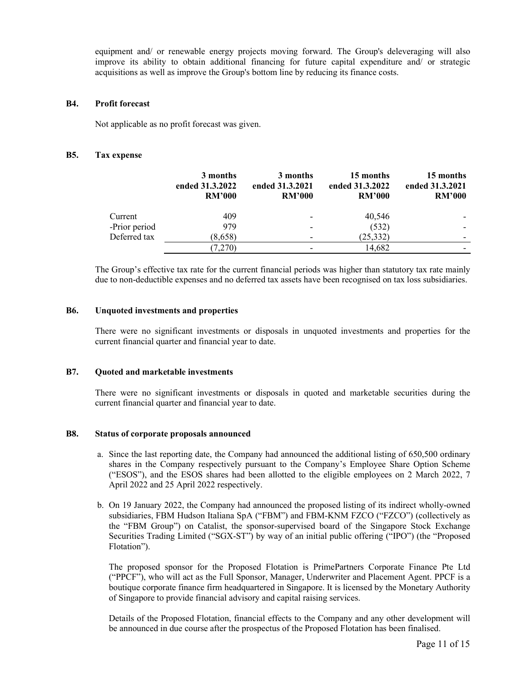equipment and/ or renewable energy projects moving forward. The Group's deleveraging will also improve its ability to obtain additional financing for future capital expenditure and/ or strategic acquisitions as well as improve the Group's bottom line by reducing its finance costs.

# **B4. Profit forecast**

Not applicable as no profit forecast was given.

# **B5. Tax expense**

|               | 3 months<br>ended 31.3.2022<br><b>RM'000</b> | 3 months<br>ended 31.3.2021<br><b>RM'000</b> | 15 months<br>ended 31.3.2022<br><b>RM'000</b> | 15 months<br>ended 31.3.2021<br><b>RM'000</b> |
|---------------|----------------------------------------------|----------------------------------------------|-----------------------------------------------|-----------------------------------------------|
| Current       | 409                                          |                                              | 40,546                                        |                                               |
| -Prior period | 979                                          |                                              | (532)                                         |                                               |
| Deferred tax  | (8,658)                                      |                                              | (25, 332)                                     |                                               |
|               | (7,270)                                      |                                              | 14,682                                        |                                               |

 The Group's effective tax rate for the current financial periods was higher than statutory tax rate mainly due to non-deductible expenses and no deferred tax assets have been recognised on tax loss subsidiaries.

# **B6. Unquoted investments and properties**

 There were no significant investments or disposals in unquoted investments and properties for the current financial quarter and financial year to date.

#### **B7. Quoted and marketable investments**

There were no significant investments or disposals in quoted and marketable securities during the current financial quarter and financial year to date.

#### **B8. Status of corporate proposals announced**

- a. Since the last reporting date, the Company had announced the additional listing of 650,500 ordinary shares in the Company respectively pursuant to the Company's Employee Share Option Scheme ("ESOS"), and the ESOS shares had been allotted to the eligible employees on 2 March 2022, 7 April 2022 and 25 April 2022 respectively.
- b. On 19 January 2022, the Company had announced the proposed listing of its indirect wholly-owned subsidiaries, FBM Hudson Italiana SpA ("FBM") and FBM-KNM FZCO ("FZCO") (collectively as the "FBM Group") on Catalist, the sponsor-supervised board of the Singapore Stock Exchange Securities Trading Limited ("SGX-ST") by way of an initial public offering ("IPO") (the "Proposed Flotation").

The proposed sponsor for the Proposed Flotation is PrimePartners Corporate Finance Pte Ltd ("PPCF"), who will act as the Full Sponsor, Manager, Underwriter and Placement Agent. PPCF is a boutique corporate finance firm headquartered in Singapore. It is licensed by the Monetary Authority of Singapore to provide financial advisory and capital raising services.

Details of the Proposed Flotation, financial effects to the Company and any other development will be announced in due course after the prospectus of the Proposed Flotation has been finalised.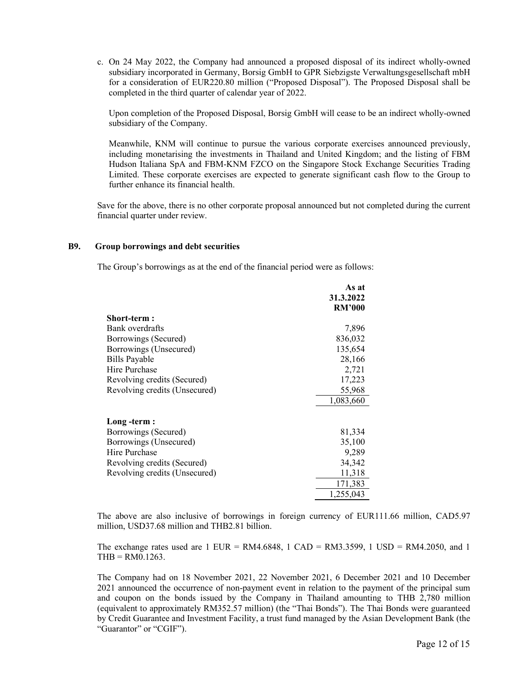c. On 24 May 2022, the Company had announced a proposed disposal of its indirect wholly-owned subsidiary incorporated in Germany, Borsig GmbH to GPR Siebzigste Verwaltungsgesellschaft mbH for a consideration of EUR220.80 million ("Proposed Disposal"). The Proposed Disposal shall be completed in the third quarter of calendar year of 2022.

Upon completion of the Proposed Disposal, Borsig GmbH will cease to be an indirect wholly-owned subsidiary of the Company.

Meanwhile, KNM will continue to pursue the various corporate exercises announced previously, including monetarising the investments in Thailand and United Kingdom; and the listing of FBM Hudson Italiana SpA and FBM-KNM FZCO on the Singapore Stock Exchange Securities Trading Limited. These corporate exercises are expected to generate significant cash flow to the Group to further enhance its financial health.

Save for the above, there is no other corporate proposal announced but not completed during the current financial quarter under review.

# **B9. Group borrowings and debt securities**

The Group's borrowings as at the end of the financial period were as follows:

|                               | As at         |
|-------------------------------|---------------|
|                               | 31.3.2022     |
|                               | <b>RM'000</b> |
| Short-term :                  |               |
| Bank overdrafts               | 7,896         |
| Borrowings (Secured)          | 836,032       |
| Borrowings (Unsecured)        | 135,654       |
| Bills Payable                 | 28,166        |
| Hire Purchase                 | 2,721         |
| Revolving credits (Secured)   | 17,223        |
| Revolving credits (Unsecured) | 55,968        |
|                               | 1,083,660     |
| Long -term :                  |               |
| Borrowings (Secured)          | 81,334        |
| Borrowings (Unsecured)        | 35,100        |
| Hire Purchase                 | 9,289         |
| Revolving credits (Secured)   | 34,342        |
| Revolving credits (Unsecured) | 11,318        |
|                               | 171,383       |
|                               | 1,255,043     |

The above are also inclusive of borrowings in foreign currency of EUR111.66 million, CAD5.97 million, USD37.68 million and THB2.81 billion.

The exchange rates used are  $1$  EUR = RM4.6848,  $1$  CAD = RM3.3599,  $1$  USD = RM4.2050, and  $1$  $THB = RM0.1263$ .

The Company had on 18 November 2021, 22 November 2021, 6 December 2021 and 10 December 2021 announced the occurrence of non-payment event in relation to the payment of the principal sum and coupon on the bonds issued by the Company in Thailand amounting to THB 2,780 million (equivalent to approximately RM352.57 million) (the "Thai Bonds"). The Thai Bonds were guaranteed by Credit Guarantee and Investment Facility, a trust fund managed by the Asian Development Bank (the "Guarantor" or "CGIF").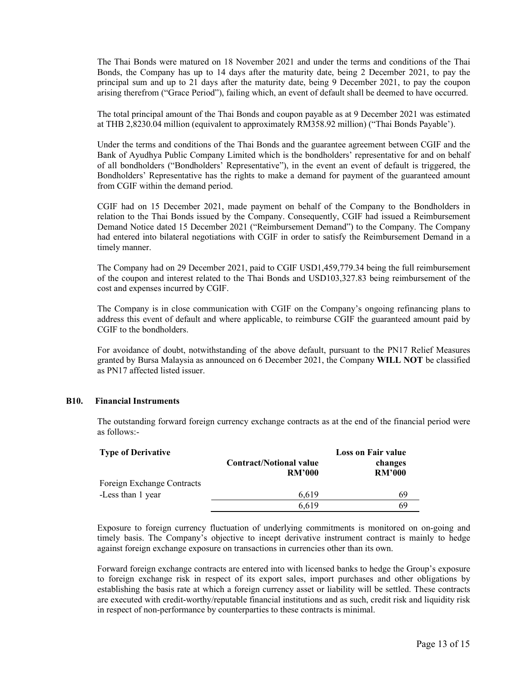The Thai Bonds were matured on 18 November 2021 and under the terms and conditions of the Thai Bonds, the Company has up to 14 days after the maturity date, being 2 December 2021, to pay the principal sum and up to 21 days after the maturity date, being 9 December 2021, to pay the coupon arising therefrom ("Grace Period"), failing which, an event of default shall be deemed to have occurred.

The total principal amount of the Thai Bonds and coupon payable as at 9 December 2021 was estimated at THB 2,8230.04 million (equivalent to approximately RM358.92 million) ("Thai Bonds Payable').

Under the terms and conditions of the Thai Bonds and the guarantee agreement between CGIF and the Bank of Ayudhya Public Company Limited which is the bondholders' representative for and on behalf of all bondholders ("Bondholders' Representative"), in the event an event of default is triggered, the Bondholders' Representative has the rights to make a demand for payment of the guaranteed amount from CGIF within the demand period.

CGIF had on 15 December 2021, made payment on behalf of the Company to the Bondholders in relation to the Thai Bonds issued by the Company. Consequently, CGIF had issued a Reimbursement Demand Notice dated 15 December 2021 ("Reimbursement Demand") to the Company. The Company had entered into bilateral negotiations with CGIF in order to satisfy the Reimbursement Demand in a timely manner.

The Company had on 29 December 2021, paid to CGIF USD1,459,779.34 being the full reimbursement of the coupon and interest related to the Thai Bonds and USD103,327.83 being reimbursement of the cost and expenses incurred by CGIF.

The Company is in close communication with CGIF on the Company's ongoing refinancing plans to address this event of default and where applicable, to reimburse CGIF the guaranteed amount paid by CGIF to the bondholders.

For avoidance of doubt, notwithstanding of the above default, pursuant to the PN17 Relief Measures granted by Bursa Malaysia as announced on 6 December 2021, the Company **WILL NOT** be classified as PN17 affected listed issuer.

# **B10. Financial Instruments**

The outstanding forward foreign currency exchange contracts as at the end of the financial period were as follows:-

| <b>Type of Derivative</b>  | <b>Loss on Fair value</b>                       |                          |  |
|----------------------------|-------------------------------------------------|--------------------------|--|
|                            | <b>Contract/Notional value</b><br><b>RM'000</b> | changes<br><b>RM'000</b> |  |
| Foreign Exchange Contracts |                                                 |                          |  |
| -Less than 1 year          | 6.619                                           | 69                       |  |
|                            | 6.619                                           | 69                       |  |

Exposure to foreign currency fluctuation of underlying commitments is monitored on on-going and timely basis. The Company's objective to incept derivative instrument contract is mainly to hedge against foreign exchange exposure on transactions in currencies other than its own.

Forward foreign exchange contracts are entered into with licensed banks to hedge the Group's exposure to foreign exchange risk in respect of its export sales, import purchases and other obligations by establishing the basis rate at which a foreign currency asset or liability will be settled. These contracts are executed with credit-worthy/reputable financial institutions and as such, credit risk and liquidity risk in respect of non-performance by counterparties to these contracts is minimal.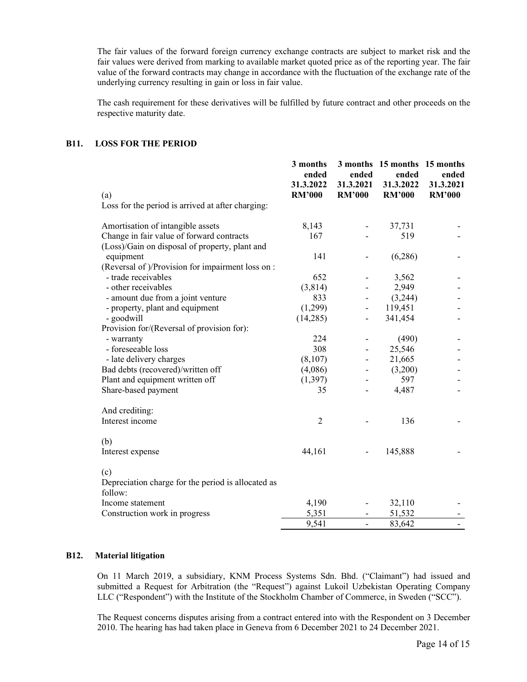The fair values of the forward foreign currency exchange contracts are subject to market risk and the fair values were derived from marking to available market quoted price as of the reporting year. The fair value of the forward contracts may change in accordance with the fluctuation of the exchange rate of the underlying currency resulting in gain or loss in fair value.

The cash requirement for these derivatives will be fulfilled by future contract and other proceeds on the respective maturity date.

# **B11. LOSS FOR THE PERIOD**

|                                                               | 3 months<br>ended | 3 months<br>ended            | 15 months 15 months<br>ended | ended         |
|---------------------------------------------------------------|-------------------|------------------------------|------------------------------|---------------|
|                                                               | 31.3.2022         | 31.3.2021                    | 31.3.2022                    | 31.3.2021     |
| (a)                                                           | <b>RM'000</b>     | <b>RM'000</b>                | <b>RM'000</b>                | <b>RM'000</b> |
| Loss for the period is arrived at after charging:             |                   |                              |                              |               |
| Amortisation of intangible assets                             | 8,143             |                              | 37,731                       |               |
| Change in fair value of forward contracts                     | 167               |                              | 519                          |               |
| (Loss)/Gain on disposal of property, plant and                |                   |                              |                              |               |
| equipment                                                     | 141               |                              | (6,286)                      |               |
| (Reversal of )/Provision for impairment loss on :             |                   |                              |                              |               |
| - trade receivables                                           | 652               |                              | 3,562                        |               |
| - other receivables                                           | (3,814)           |                              | 2,949                        |               |
| - amount due from a joint venture                             | 833               |                              | (3,244)                      |               |
| - property, plant and equipment                               | (1,299)           |                              | 119,451                      |               |
| - goodwill                                                    | (14,285)          | $\qquad \qquad \blacksquare$ | 341,454                      |               |
| Provision for/(Reversal of provision for):                    |                   |                              |                              |               |
| - warranty                                                    | 224               | $\qquad \qquad \blacksquare$ | (490)                        |               |
| - foreseeable loss                                            | 308               | $\qquad \qquad \blacksquare$ | 25,546                       |               |
| - late delivery charges                                       | (8,107)           | $\overline{\phantom{a}}$     | 21,665                       |               |
| Bad debts (recovered)/written off                             | (4,086)           | $\overline{\phantom{a}}$     | (3,200)                      |               |
| Plant and equipment written off                               | (1, 397)          |                              | 597                          |               |
| Share-based payment                                           | 35                | $\overline{a}$               | 4,487                        |               |
| And crediting:                                                |                   |                              |                              |               |
| Interest income                                               | $\overline{2}$    |                              | 136                          |               |
| (b)                                                           |                   |                              |                              |               |
| Interest expense                                              | 44,161            |                              | 145,888                      |               |
| (c)                                                           |                   |                              |                              |               |
| Depreciation charge for the period is allocated as<br>follow: |                   |                              |                              |               |
| Income statement                                              | 4,190             |                              | 32,110                       |               |
| Construction work in progress                                 | 5,351             |                              | 51,532                       |               |
|                                                               | 9,541             |                              | 83,642                       |               |

#### **B12. Material litigation**

On 11 March 2019, a subsidiary, KNM Process Systems Sdn. Bhd. ("Claimant") had issued and submitted a Request for Arbitration (the "Request") against Lukoil Uzbekistan Operating Company LLC ("Respondent") with the Institute of the Stockholm Chamber of Commerce, in Sweden ("SCC").

The Request concerns disputes arising from a contract entered into with the Respondent on 3 December 2010. The hearing has had taken place in Geneva from 6 December 2021 to 24 December 2021.